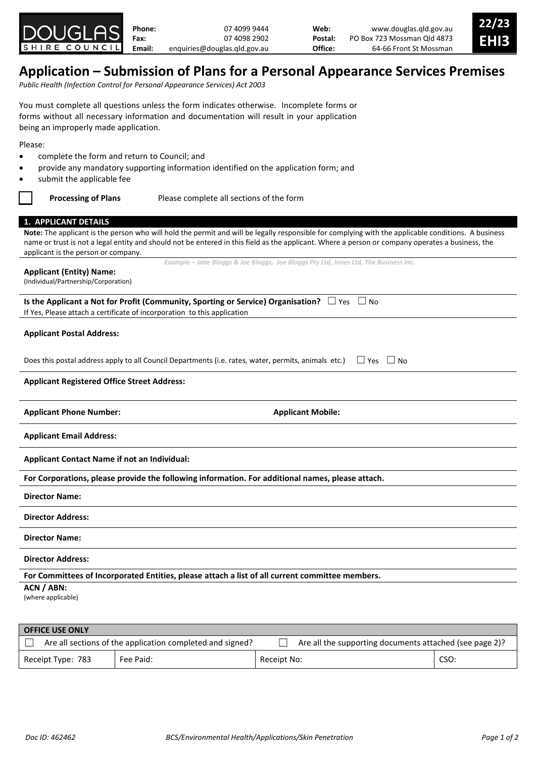

| Phone: | 07 4099 9444                 | Web:    | www.douglas.gld.gov.au      | 22/23 |
|--------|------------------------------|---------|-----------------------------|-------|
| Fax:   | 07 4098 2902                 | Postal: | PO Box 723 Mossman Qld 4873 | EHI3  |
| Email: | enguiries@douglas.gld.gov.au | Office: | 64-66 Front St Mossman      |       |
|        |                              |         |                             |       |

# **Application – Submission of Plans for a Personal Appearance Services Premises**

*Public Health (Infection Control for Personal Appearance Services) Act 2003*

You must complete all questions unless the form indicates otherwise. Incomplete forms or forms without all necessary information and documentation will result in your application being an improperly made application.

Please:

- complete the form and return to Council; and
- provide any mandatory supporting information identified on the application form; and
- submit the applicable fee

**Processing of Plans** Please complete all sections of the form

## **1. APPLICANT DETAILS**

**Note:** The applicant is the person who will hold the permit and will be legally responsible for complying with the applicable conditions. A business name or trust is not a legal entity and should not be entered in this field as the applicant. Where a person or company operates a business, the applicant is the person or company. *Example – Jane Bloggs & Joe Bloggs, Joe Bloggs Pty Ltd, Jones Ltd, The Business Inc.*

#### **Applicant (Entity) Name:**

(Individual/Partnership/Corporation)

**Is the Applicant a Not for Profit (Community, Sporting or Service) Organisation?**  $□$  Yes  $□$  No If Yes, Please attach a certificate of incorporation to this application

## **Applicant Postal Address:**

Does this postal address apply to all Council Departments (i.e. rates, water, permits, animals etc.)  $\Box$  Yes  $\Box$  No

### **Applicant Registered Office Street Address:**

Applicant Phone Number: **Applicant Mobile: Applicant Mobile: Applicant Mobile:** 

**Applicant Email Address:**

**Applicant Contact Name if not an Individual:**

**For Corporations, please provide the following information. For additional names, please attach.**

**Director Name:**

**Director Address:**

**Director Name:**

**Director Address:**

**For Committees of Incorporated Entities, please attach a list of all current committee members.**

**ACN / ABN:**

(where applicable)

| <b>OFFICE USE ONLY</b> |                                                           |                                                         |      |  |  |  |  |
|------------------------|-----------------------------------------------------------|---------------------------------------------------------|------|--|--|--|--|
|                        | Are all sections of the application completed and signed? | Are all the supporting documents attached (see page 2)? |      |  |  |  |  |
| Receipt Type: 783      | Fee Paid:                                                 | Receipt No:                                             | CSO: |  |  |  |  |